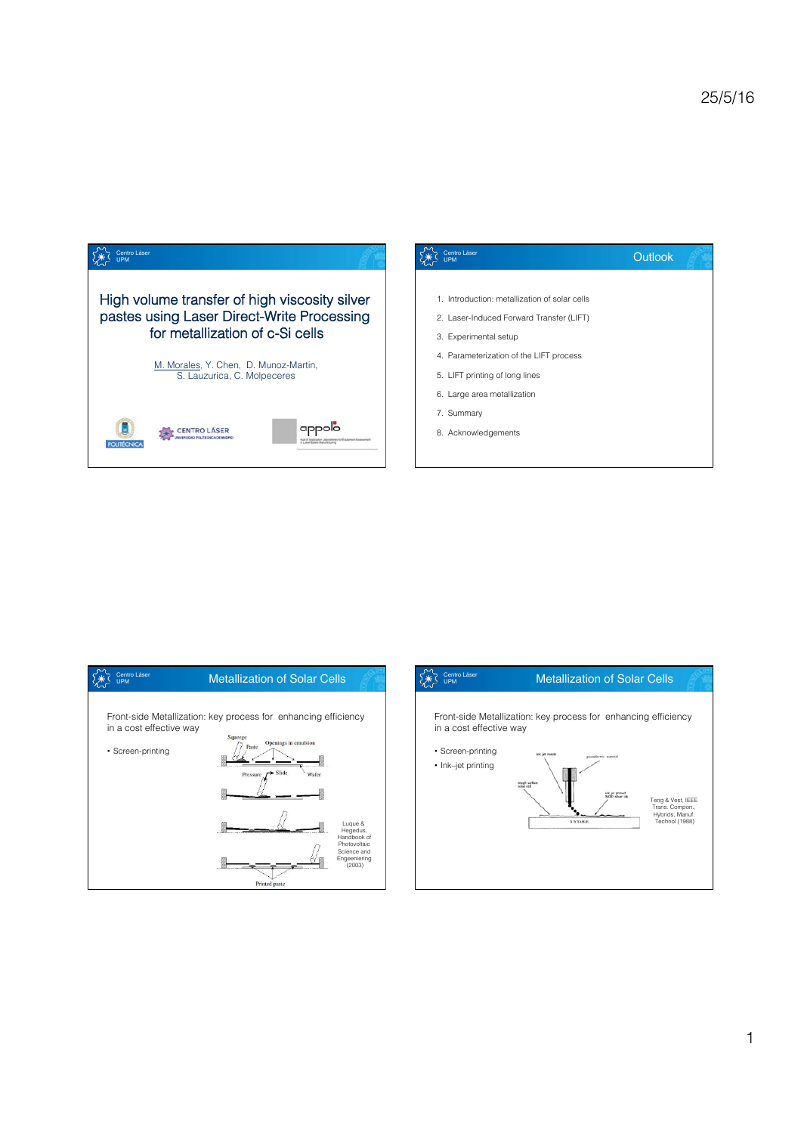





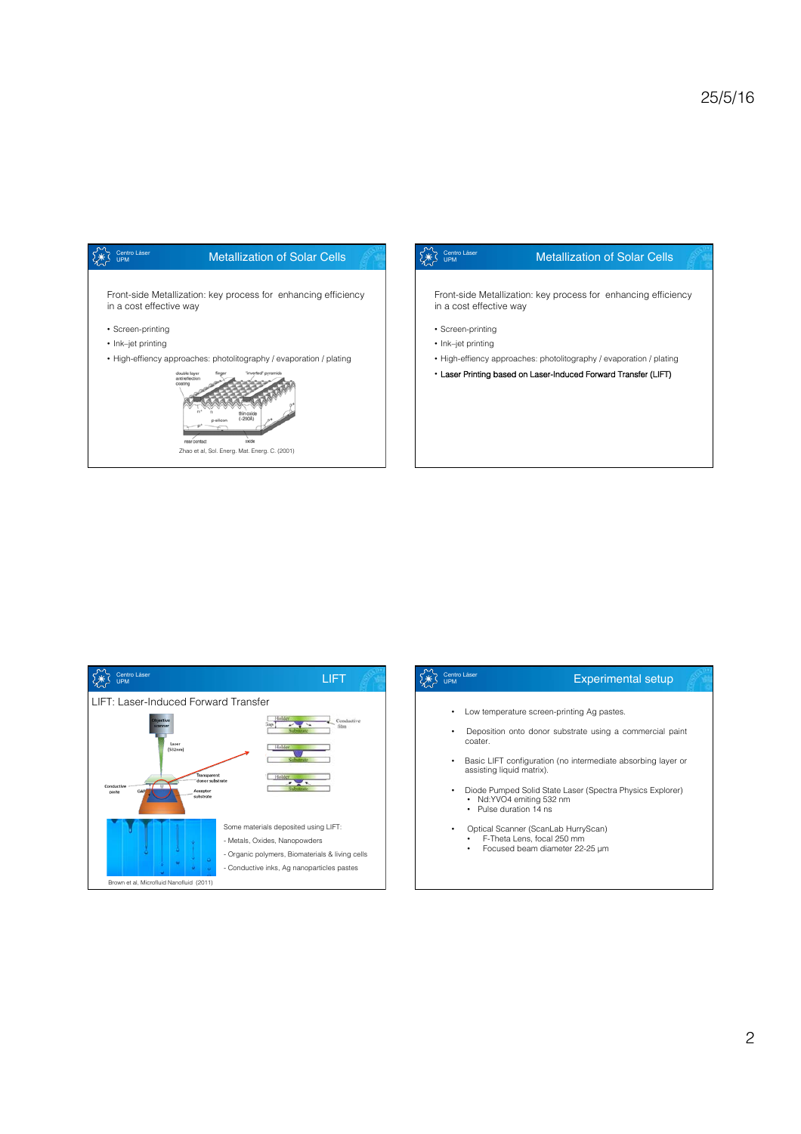







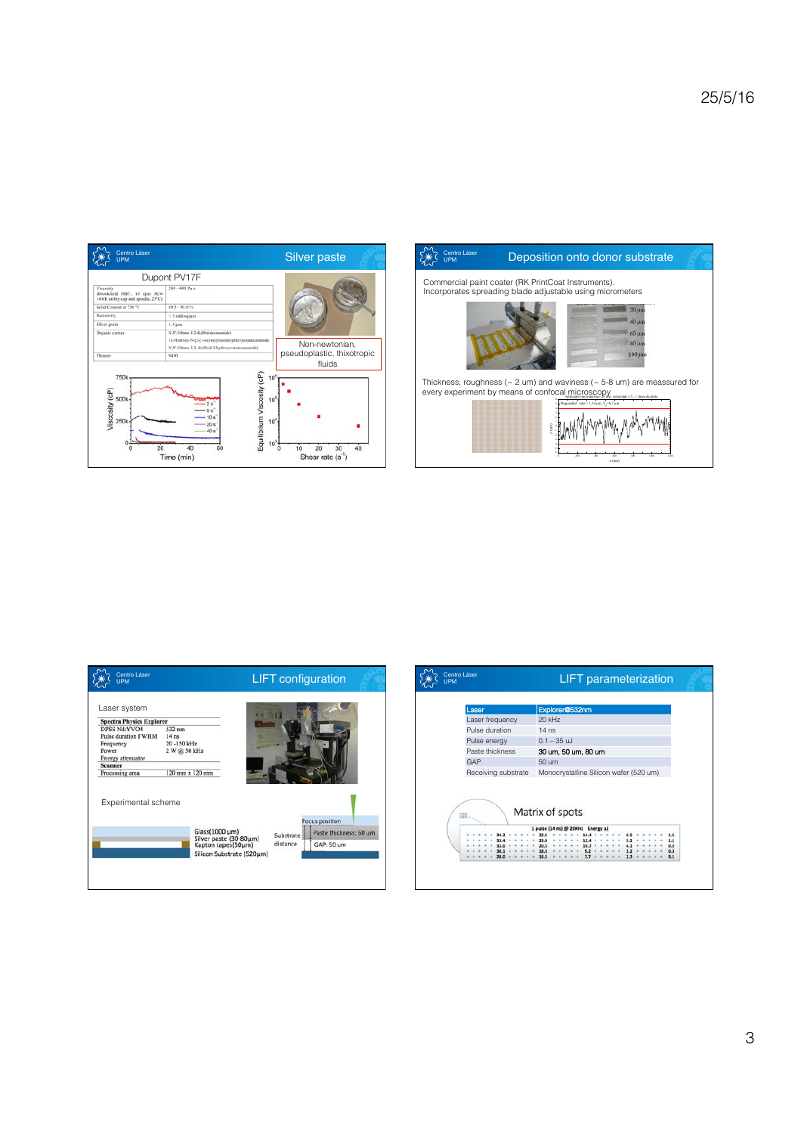



| Laser system                        |                                                                           |           |                        |
|-------------------------------------|---------------------------------------------------------------------------|-----------|------------------------|
| <b>Spectra Physics Explorer</b>     |                                                                           |           |                        |
| DPSS Nd:YVO4<br>Pulse duration FWHM | 532 nm<br>14 <sub>ns</sub>                                                |           |                        |
| Frequency<br>Power                  | 20-150 kHz<br>2 W @ 50 kHz                                                |           |                        |
| Energy attenuator                   |                                                                           |           |                        |
| <b>Scanner</b>                      |                                                                           |           |                        |
| Processing area                     |                                                                           |           |                        |
|                                     | 120 mm x 120 mm                                                           |           |                        |
| Experimental scheme                 |                                                                           |           | <b>Focus position</b>  |
|                                     | Glass(1000 µm)                                                            | Substrate | Paste thickness: 60 um |
|                                     | Silver paste (30-80µm)<br>Kapton tapes(50µm)<br>Silicon Substrate (520um) | distance  | GAP: 50 um             |

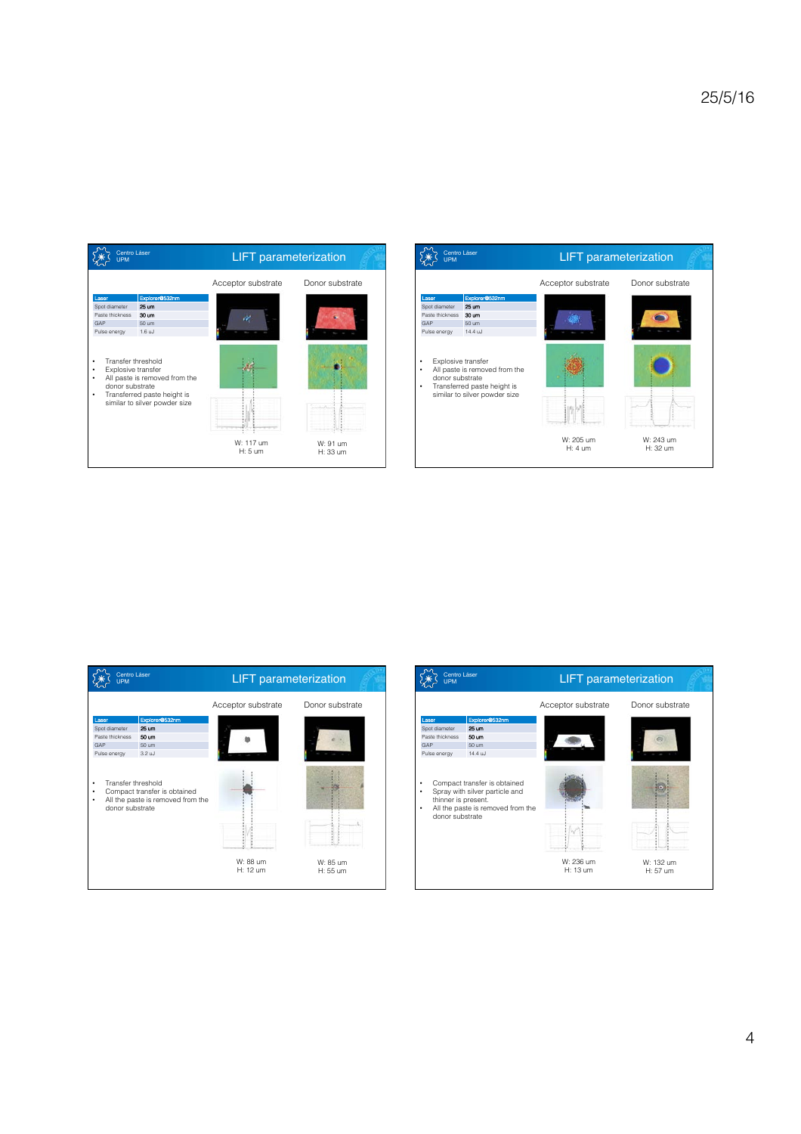





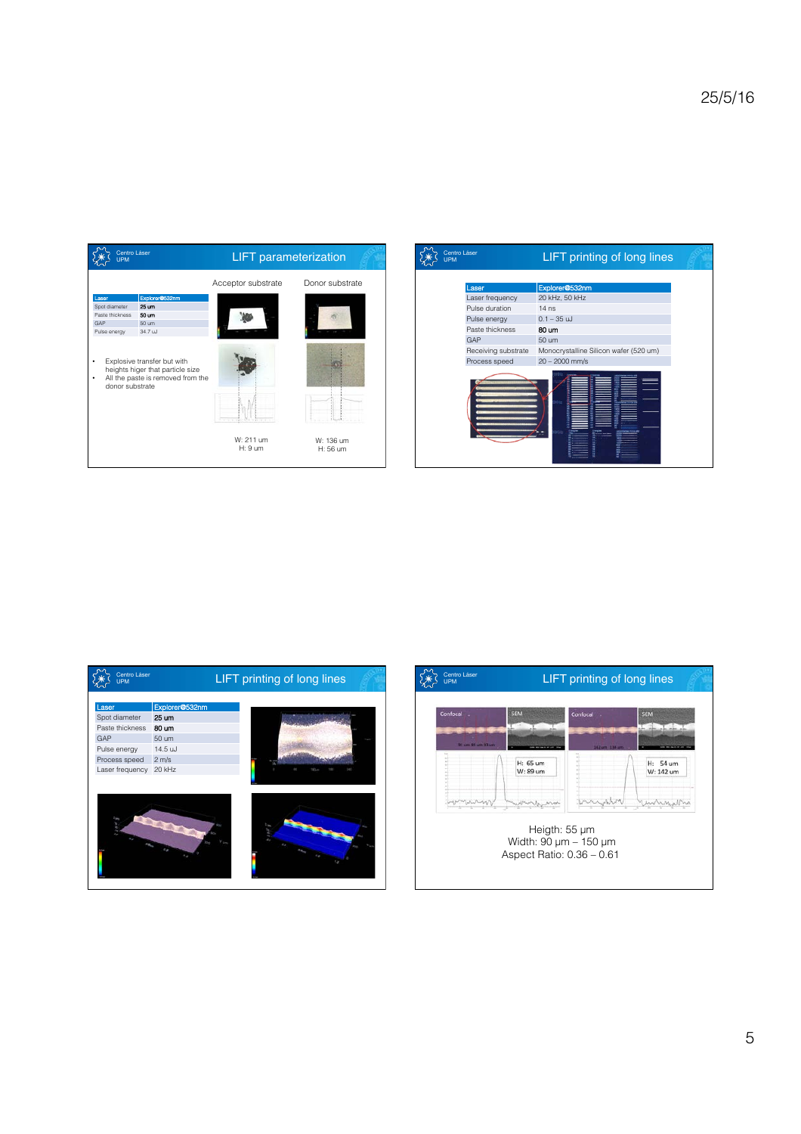

| <b>UPM</b> | Centro Láser        | LIFT printing of long lines            |  |  |
|------------|---------------------|----------------------------------------|--|--|
|            |                     |                                        |  |  |
|            | Laser               | Explorer@532nm                         |  |  |
|            | Laser frequency     | 20 kHz, 50 kHz                         |  |  |
|            | Pulse duration      | $14$ ns                                |  |  |
|            | Pulse energy        | $0.1 - 35$ uJ                          |  |  |
|            | Paste thickness     | 80 um                                  |  |  |
|            | GAP                 | 50 um                                  |  |  |
|            | Receiving substrate | Monocrystalline Silicon wafer (520 um) |  |  |
|            | Process speed       | $20 - 2000$ mm/s                       |  |  |
|            |                     |                                        |  |  |



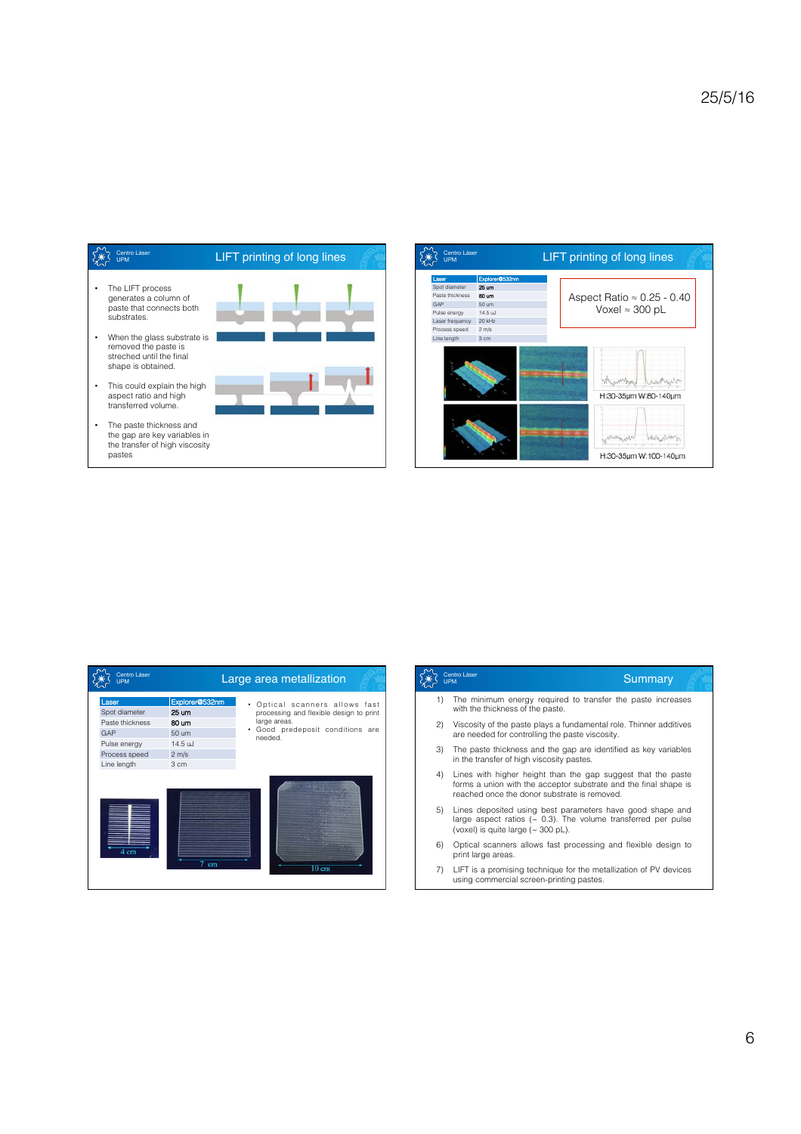



| Centro Láser<br><b>UPM</b>                                                                       | Large area metallization                                                                     |                                                                                                                                                |  |
|--------------------------------------------------------------------------------------------------|----------------------------------------------------------------------------------------------|------------------------------------------------------------------------------------------------------------------------------------------------|--|
| Laser<br>Spot diameter<br>Paste thickness<br>GAP<br>Pulse energy<br>Process speed<br>Line length | Explorer@532nm<br>25 um<br>80 um<br>50 um<br>14.5 uJ<br>$2 \, \text{m/s}$<br>3 <sub>cm</sub> | Optical scanners allows fast<br>٠<br>processing and flexible design to print<br>large areas.<br>Good predeposit conditions are<br>٠<br>needed. |  |
| 4 cm                                                                                             | 7 cm                                                                                         | $10 \text{ cm}$                                                                                                                                |  |

|    | Centro Láser<br>Summary<br><b>UPM</b>                                                                                                                                                 |
|----|---------------------------------------------------------------------------------------------------------------------------------------------------------------------------------------|
| 1) | The minimum energy required to transfer the paste increases<br>with the thickness of the paste.                                                                                       |
| 2) | Viscosity of the paste plays a fundamental role. Thinner additives<br>are needed for controlling the paste viscosity.                                                                 |
| 3) | The paste thickness and the gap are identified as key variables<br>in the transfer of high viscosity pastes.                                                                          |
| 4) | Lines with higher height than the gap suggest that the paste<br>forms a union with the acceptor substrate and the final shape is<br>reached once the donor substrate is removed.      |
| 5) | Lines deposited using best parameters have good shape and<br>large aspect ratios ( $\sim$ 0.3). The volume transferred per pulse<br>(voxel) is quite large $({\sim}300 \text{ pL})$ . |
| 6) | Optical scanners allows fast processing and flexible design to<br>print large areas.                                                                                                  |
| 7) | LIFT is a promising technique for the metallization of PV devices<br>using commercial screen-printing pastes.                                                                         |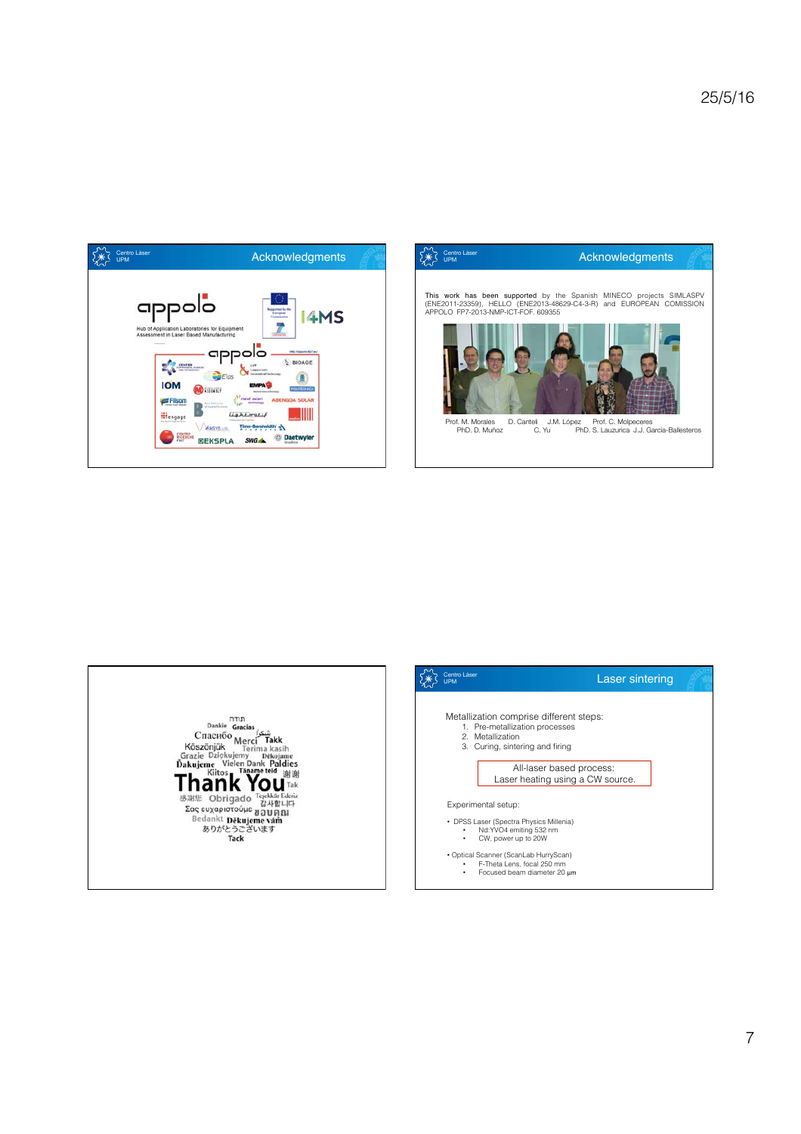